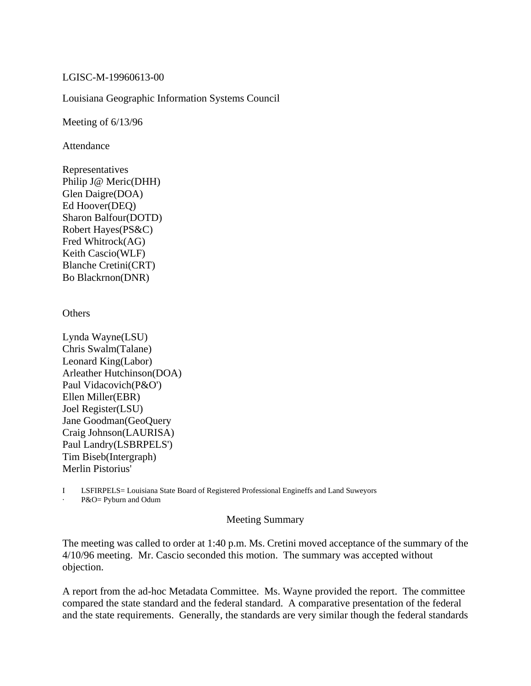## LGISC-M-19960613-00

## Louisiana Geographic Information Systems Council

Meeting of 6/13/96

Attendance

Representatives Philip J@ Meric(DHH) Glen Daigre(DOA) Ed Hoover(DEQ) Sharon Balfour(DOTD) Robert Hayes(PS&C) Fred Whitrock(AG) Keith Cascio(WLF) Blanche Cretini(CRT) Bo Blackrnon(DNR)

**Others** 

Lynda Wayne(LSU) Chris Swalm(Talane) Leonard King(Labor) Arleather Hutchinson(DOA) Paul Vidacovich(P&O') Ellen Miller(EBR) Joel Register(LSU) Jane Goodman(GeoQuery Craig Johnson(LAURISA) Paul Landry(LSBRPELS') Tim Biseb(Intergraph) Merlin Pistorius'

I LSFIRPELS= Louisiana State Board of Registered Professional Engineffs and Land Suweyors

P&O= Pyburn and Odum

## Meeting Summary

The meeting was called to order at 1:40 p.m. Ms. Cretini moved acceptance of the summary of the 4/10/96 meeting. Mr. Cascio seconded this motion. The summary was accepted without objection.

A report from the ad-hoc Metadata Committee. Ms. Wayne provided the report. The committee compared the state standard and the federal standard. A comparative presentation of the federal and the state requirements. Generally, the standards are very similar though the federal standards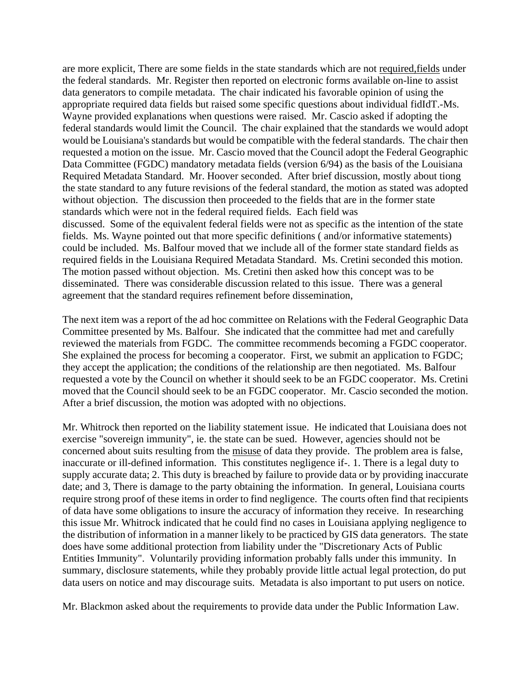are more explicit, There are some fields in the state standards which are not required,fields under the federal standards. Mr. Register then reported on electronic forms available on-line to assist data generators to compile metadata. The chair indicated his favorable opinion of using the appropriate required data fields but raised some specific questions about individual fidIdT.-Ms. Wayne provided explanations when questions were raised. Mr. Cascio asked if adopting the federal standards would limit the Council. The chair explained that the standards we would adopt would be Louisiana's standards but would be compatible with the federal standards. The chair then requested a motion on the issue. Mr. Cascio moved that the Council adopt the Federal Geographic Data Committee (FGDC) mandatory metadata fields (version 6/94) as the basis of the Louisiana Required Metadata Standard. Mr. Hoover seconded. After brief discussion, mostly about tiong the state standard to any future revisions of the federal standard, the motion as stated was adopted without objection. The discussion then proceeded to the fields that are in the former state standards which were not in the federal required fields. Each field was discussed. Some of the equivalent federal fields were not as specific as the intention of the state fields. Ms. Wayne pointed out that more specific definitions ( and/or informative statements) could be included. Ms. Balfour moved that we include all of the former state standard fields as required fields in the Louisiana Required Metadata Standard. Ms. Cretini seconded this motion. The motion passed without objection. Ms. Cretini then asked how this concept was to be disseminated. There was considerable discussion related to this issue. There was a general agreement that the standard requires refinement before dissemination,

The next item was a report of the ad hoc committee on Relations with the Federal Geographic Data Committee presented by Ms. Balfour. She indicated that the committee had met and carefully reviewed the materials from FGDC. The committee recommends becoming a FGDC cooperator. She explained the process for becoming a cooperator. First, we submit an application to FGDC; they accept the application; the conditions of the relationship are then negotiated. Ms. Balfour requested a vote by the Council on whether it should seek to be an FGDC cooperator. Ms. Cretini moved that the Council should seek to be an FGDC cooperator. Mr. Cascio seconded the motion. After a brief discussion, the motion was adopted with no objections.

Mr. Whitrock then reported on the liability statement issue. He indicated that Louisiana does not exercise "sovereign immunity", ie. the state can be sued. However, agencies should not be concerned about suits resulting from the misuse of data they provide. The problem area is false, inaccurate or ill-defined information. This constitutes negligence if-. 1. There is a legal duty to supply accurate data; 2. This duty is breached by failure to provide data or by providing inaccurate date; and 3, There is damage to the party obtaining the information. In general, Louisiana courts require strong proof of these items in order to find negligence. The courts often find that recipients of data have some obligations to insure the accuracy of information they receive. In researching this issue Mr. Whitrock indicated that he could find no cases in Louisiana applying negligence to the distribution of information in a manner likely to be practiced by GIS data generators. The state does have some additional protection from liability under the "Discretionary Acts of Public Entities Immunity". Voluntarily providing information probably falls under this immunity. In summary, disclosure statements, while they probably provide little actual legal protection, do put data users on notice and may discourage suits. Metadata is also important to put users on notice.

Mr. Blackmon asked about the requirements to provide data under the Public Information Law.